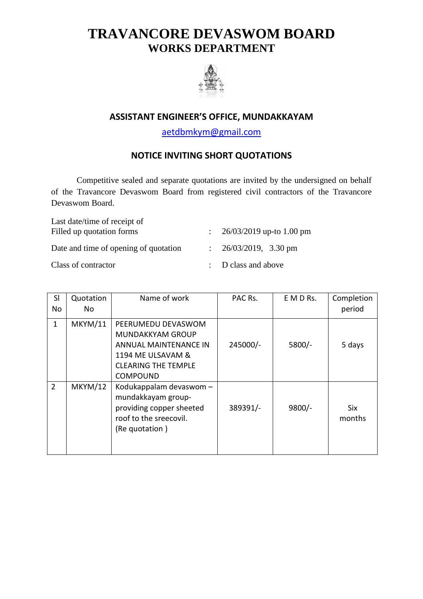## **TRAVANCORE DEVASWOM BOARD WORKS DEPARTMENT**



## **ASSISTANT ENGINEER'S OFFICE, MUNDAKKAYAM**

[aetdbmkym@gmail.com](mailto:aetdbmkym@gmail.com)

## **NOTICE INVITING SHORT QUOTATIONS**

Competitive sealed and separate quotations are invited by the undersigned on behalf of the Travancore Devaswom Board from registered civil contractors of the Travancore Devaswom Board.

| Last date/time of receipt of          |                                    |
|---------------------------------------|------------------------------------|
| Filled up quotation forms             | : $26/03/2019$ up-to 1.00 pm       |
| Date and time of opening of quotation | : $26/03/2019$ , $3.30 \text{ pm}$ |
| Class of contractor                   | $\therefore$ D class and above     |

| SI<br>No       | Quotation<br>No. | Name of work                                                                                                                                 | PAC Rs.  | E M D Rs. | Completion<br>period |
|----------------|------------------|----------------------------------------------------------------------------------------------------------------------------------------------|----------|-----------|----------------------|
| $\mathbf{1}$   | <b>MKYM/11</b>   | PEERUMEDU DEVASWOM<br><b>MUNDAKKYAM GROUP</b><br>ANNUAL MAINTENANCE IN<br>1194 ME ULSAVAM &<br><b>CLEARING THE TEMPLE</b><br><b>COMPOUND</b> | 245000/- | $5800/-$  | 5 days               |
| $\overline{2}$ | <b>MKYM/12</b>   | Kodukappalam devaswom -<br>mundakkayam group-<br>providing copper sheeted<br>roof to the sreecovil.<br>(Re quotation)                        | 389391/- | $9800/-$  | <b>Six</b><br>months |